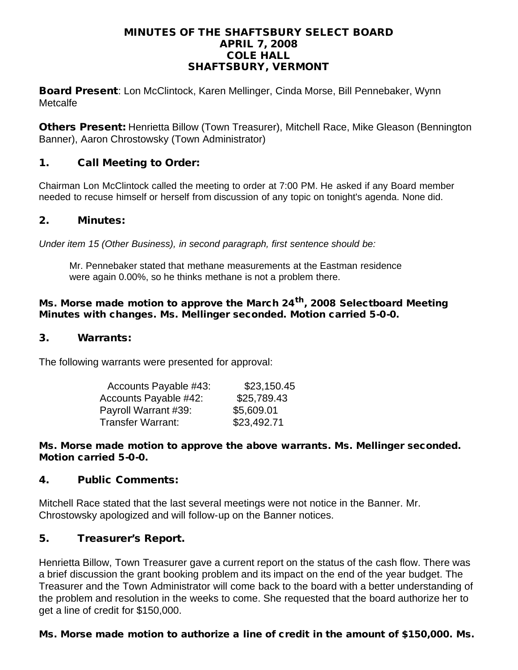#### MINUTES OF THE SHAFTSBURY SELECT BOARD APRIL 7, 2008 COLE HALL SHAFTSBURY, VERMONT

Board Present: Lon McClintock, Karen Mellinger, Cinda Morse, Bill Pennebaker, Wynn Metcalfe

Others Present: Henrietta Billow (Town Treasurer), Mitchell Race, Mike Gleason (Bennington Banner), Aaron Chrostowsky (Town Administrator)

## 1. Call Meeting to Order:

Chairman Lon McClintock called the meeting to order at 7:00 PM. He asked if any Board member needed to recuse himself or herself from discussion of any topic on tonight's agenda. None did.

#### 2. Minutes:

*Under item 15 (Other Business), in second paragraph, first sentence should be:*

Mr. Pennebaker stated that methane measurements at the Eastman residence were again 0.00%, so he thinks methane is not a problem there.

#### Ms. Morse made motion to approve the March 24<sup>th</sup>, 2008 Selectboard Meeting Minutes with changes. Ms. Mellinger seconded. Motion carried 5-0-0.

#### 3. Warrants:

The following warrants were presented for approval:

| Accounts Payable #43:    | \$23,150.45 |
|--------------------------|-------------|
| Accounts Payable #42:    | \$25,789.43 |
| Payroll Warrant #39:     | \$5,609.01  |
| <b>Transfer Warrant:</b> | \$23,492.71 |

#### Ms. Morse made motion to approve the above warrants. Ms. Mellinger seconded. Motion carried 5-0-0.

## 4. Public Comments:

Mitchell Race stated that the last several meetings were not notice in the Banner. Mr. Chrostowsky apologized and will follow-up on the Banner notices.

## 5. Treasurer's Report.

Henrietta Billow, Town Treasurer gave a current report on the status of the cash flow. There was a brief discussion the grant booking problem and its impact on the end of the year budget. The Treasurer and the Town Administrator will come back to the board with a better understanding of the problem and resolution in the weeks to come. She requested that the board authorize her to get a line of credit for \$150,000.

#### Ms. Morse made motion to authorize a line of credit in the amount of \$150,000. Ms.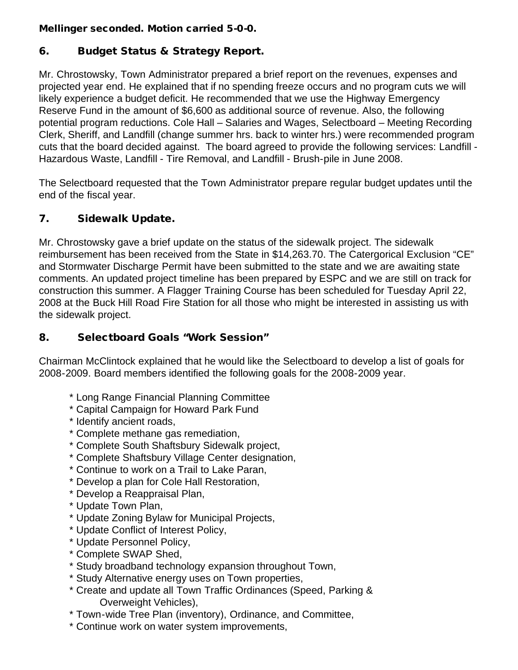## Mellinger seconded. Motion carried 5-0-0.

# 6. Budget Status & Strategy Report.

Mr. Chrostowsky, Town Administrator prepared a brief report on the revenues, expenses and projected year end. He explained that if no spending freeze occurs and no program cuts we will likely experience a budget deficit. He recommended that we use the Highway Emergency Reserve Fund in the amount of \$6,600 as additional source of revenue. Also, the following potential program reductions. Cole Hall – Salaries and Wages, Selectboard – Meeting Recording Clerk, Sheriff, and Landfill (change summer hrs. back to winter hrs.) were recommended program cuts that the board decided against. The board agreed to provide the following services: Landfill - Hazardous Waste, Landfill - Tire Removal, and Landfill - Brush-pile in June 2008.

The Selectboard requested that the Town Administrator prepare regular budget updates until the end of the fiscal year.

# 7. Sidewalk Update.

Mr. Chrostowsky gave a brief update on the status of the sidewalk project. The sidewalk reimbursement has been received from the State in \$14,263.70. The Catergorical Exclusion "CE" and Stormwater Discharge Permit have been submitted to the state and we are awaiting state comments. An updated project timeline has been prepared by ESPC and we are still on track for construction this summer. A Flagger Training Course has been scheduled for Tuesday April 22, 2008 at the Buck Hill Road Fire Station for all those who might be interested in assisting us with the sidewalk project.

## 8. Selectboard Goals "Work Session"

Chairman McClintock explained that he would like the Selectboard to develop a list of goals for 2008-2009. Board members identified the following goals for the 2008-2009 year.

- \* Long Range Financial Planning Committee
- \* Capital Campaign for Howard Park Fund
- \* Identify ancient roads,
- \* Complete methane gas remediation,
- \* Complete South Shaftsbury Sidewalk project,
- \* Complete Shaftsbury Village Center designation,
- \* Continue to work on a Trail to Lake Paran,
- \* Develop a plan for Cole Hall Restoration,
- \* Develop a Reappraisal Plan,
- \* Update Town Plan,
- \* Update Zoning Bylaw for Municipal Projects,
- \* Update Conflict of Interest Policy,
- \* Update Personnel Policy,
- \* Complete SWAP Shed,
- \* Study broadband technology expansion throughout Town,
- \* Study Alternative energy uses on Town properties,
- \* Create and update all Town Traffic Ordinances (Speed, Parking & Overweight Vehicles),
- \* Town-wide Tree Plan (inventory), Ordinance, and Committee,
- \* Continue work on water system improvements,